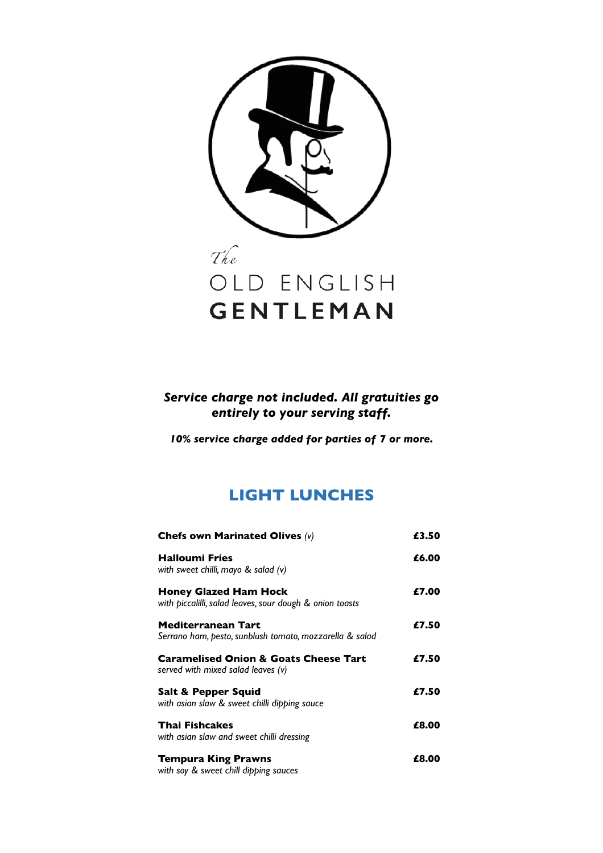

## *Service charge not included. All gratuities go entirely to your serving staff.*

*10% service charge added for parties of 7 or more.* 

# **LIGHT LUNCHES**

| Chefs own Marinated Olives $(v)$                                                         | £3.50 |
|------------------------------------------------------------------------------------------|-------|
| <b>Halloumi Fries</b><br>with sweet chilli, mayo & salad (v)                             | £6.00 |
| <b>Honey Glazed Ham Hock</b><br>with piccalilli, salad leaves, sour dough & onion toasts | £7.00 |
| Mediterranean Tart<br>Serrano ham, pesto, sunblush tomato, mozzarella & salad            | £7.50 |
| <b>Caramelised Onion &amp; Goats Cheese Tart</b><br>served with mixed salad leaves (v)   | £7.50 |
| Salt & Pepper Squid<br>with asian slaw & sweet chilli dipping sauce                      | £7.50 |
| <b>Thai Fishcakes</b><br>with asian slaw and sweet chilli dressing                       | £8.00 |
| <b>Tempura King Prawns</b><br>with soy & sweet chill dipping sauces                      | £8.00 |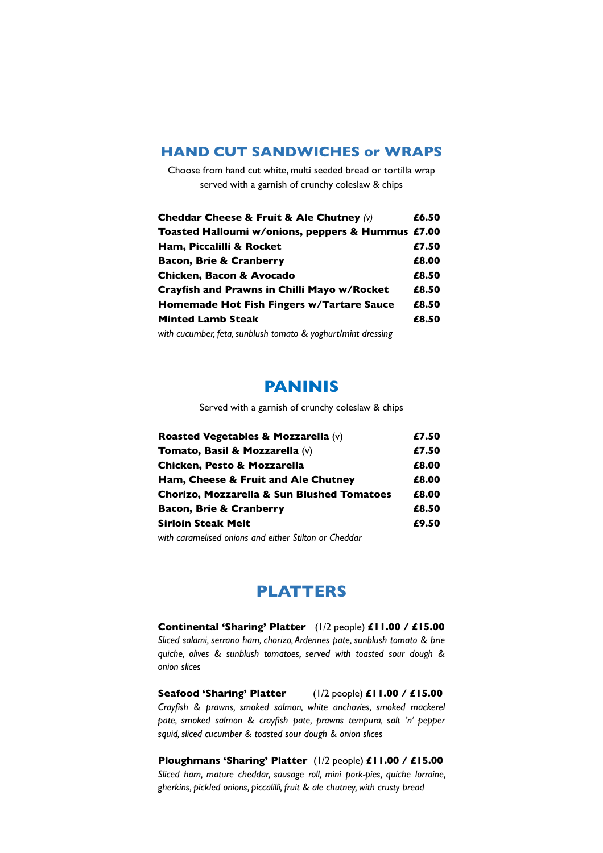### **HAND CUT SANDWICHES or WRAPS**

Choose from hand cut white, multi seeded bread or tortilla wrap served with a garnish of crunchy coleslaw & chips

| Cheddar Cheese & Fruit & Ale Chutney (v)                     | £6.50 |
|--------------------------------------------------------------|-------|
| Toasted Halloumi w/onions, peppers & Hummus £7.00            |       |
| Ham, Piccalilli & Rocket                                     | £7.50 |
| <b>Bacon, Brie &amp; Cranberry</b>                           | £8.00 |
| Chicken, Bacon & Avocado                                     | £8.50 |
| Crayfish and Prawns in Chilli Mayo w/Rocket                  | £8.50 |
| Homemade Hot Fish Fingers w/Tartare Sauce                    | £8.50 |
| <b>Minted Lamb Steak</b>                                     | £8.50 |
| with cucumber, feta, sunblush tomato & yoghurt/mint dressing |       |

## **PANINIS**

Served with a garnish of crunchy coleslaw & chips

| Roasted Vegetables & Mozzarella (v)                   | £7.50 |
|-------------------------------------------------------|-------|
| Tomato, Basil & Mozzarella (v)                        | £7.50 |
| Chicken, Pesto & Mozzarella                           | £8.00 |
| Ham, Cheese & Fruit and Ale Chutney                   | £8.00 |
| <b>Chorizo, Mozzarella &amp; Sun Blushed Tomatoes</b> | £8.00 |
| <b>Bacon, Brie &amp; Cranberry</b>                    | £8.50 |
| <b>Sirloin Steak Melt</b>                             | £9.50 |
|                                                       |       |

*with caramelised onions and either Stilton or Cheddar*

## **PLATTERS**

**Continental 'Sharing' Platter** (1/2 people) **£11.00 / £15.00**  *Sliced salami, serrano ham, chorizo, Ardennes pate, sunblush tomato & brie quiche, olives & sunblush tomatoes, served with toasted sour dough & onion slices*

**Seafood 'Sharing' Platter** (1/2 people) **£11.00 / £15.00**  *Crayfish & prawns, smoked salmon, white anchovies, smoked mackerel pate, smoked salmon & crayfish pate, prawns tempura, salt 'n' pepper squid, sliced cucumber & toasted sour dough & onion slices* 

**Ploughmans 'Sharing' Platter** (1/2 people) **£11.00 / £15.00**  *Sliced ham, mature cheddar, sausage roll, mini pork-pies, quiche lorraine, gherkins, pickled onions, piccalilli, fruit & ale chutney, with crusty bread*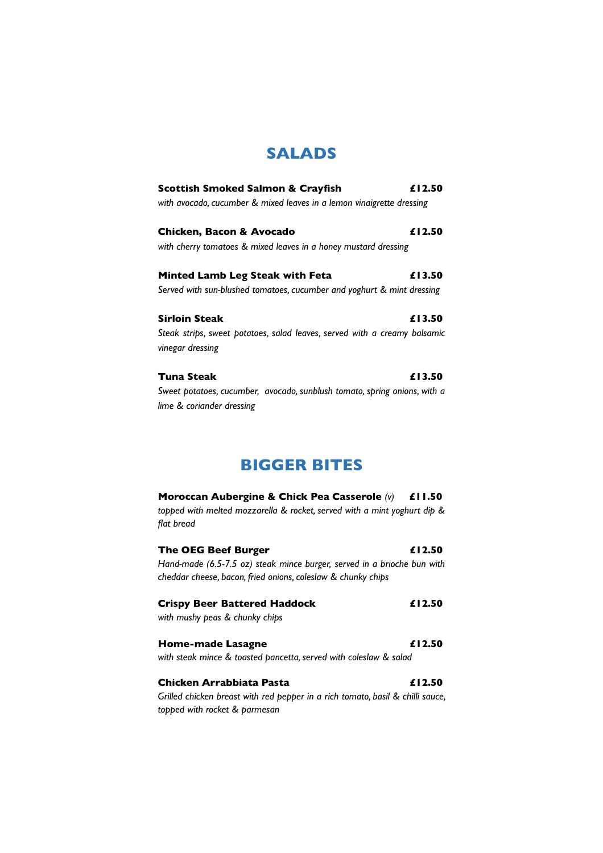# **SALADS**

| <b>Scottish Smoked Salmon &amp; Crayfish</b>                              | £12.50 |
|---------------------------------------------------------------------------|--------|
| with avocado, cucumber & mixed leaves in a lemon vinaigrette dressing     |        |
| Chicken, Bacon & Avocado                                                  | £12.50 |
| with cherry tomatoes & mixed leaves in a honey mustard dressing           |        |
| <b>Minted Lamb Leg Steak with Feta</b>                                    | £13.50 |
| Served with sun-blushed tomatoes, cucumber and yoghurt & mint dressing    |        |
| <b>Sirloin Steak</b>                                                      | £13.50 |
| Steak strips, sweet potatoes, salad leaves, served with a creamy balsamic |        |
| vinegar dressing                                                          |        |
| Tuna Steak                                                                | £13.50 |
| Sweet potatoes, cucumber, avocado, sunblush tomato, spring onions, with a |        |
| lime & coriander dressing                                                 |        |

# **BIGGER BITES**

| Moroccan Aubergine & Chick Pea Casserole $(v)$ £11.50<br>topped with melted mozzarella & rocket, served with a mint yoghurt dip &<br>flat bread |        |
|-------------------------------------------------------------------------------------------------------------------------------------------------|--------|
| <b>The OEG Beef Burger</b>                                                                                                                      | £12.50 |
| Hand-made (6.5-7.5 oz) steak mince burger, served in a brioche bun with<br>cheddar cheese, bacon, fried onions, coleslaw & chunky chips         |        |
| <b>Crispy Beer Battered Haddock</b><br>with mushy peas & chunky chips                                                                           | £12.50 |
| Home-made Lasagne                                                                                                                               | £12.50 |
| with steak mince & toasted pancetta, served with coleslaw & salad                                                                               |        |
| Chicken Arrabbiata Pasta                                                                                                                        | £12.50 |
| Grilled chicken breast with red pepper in a rich tomato, basil & chilli sauce,<br>topped with rocket & parmesan                                 |        |